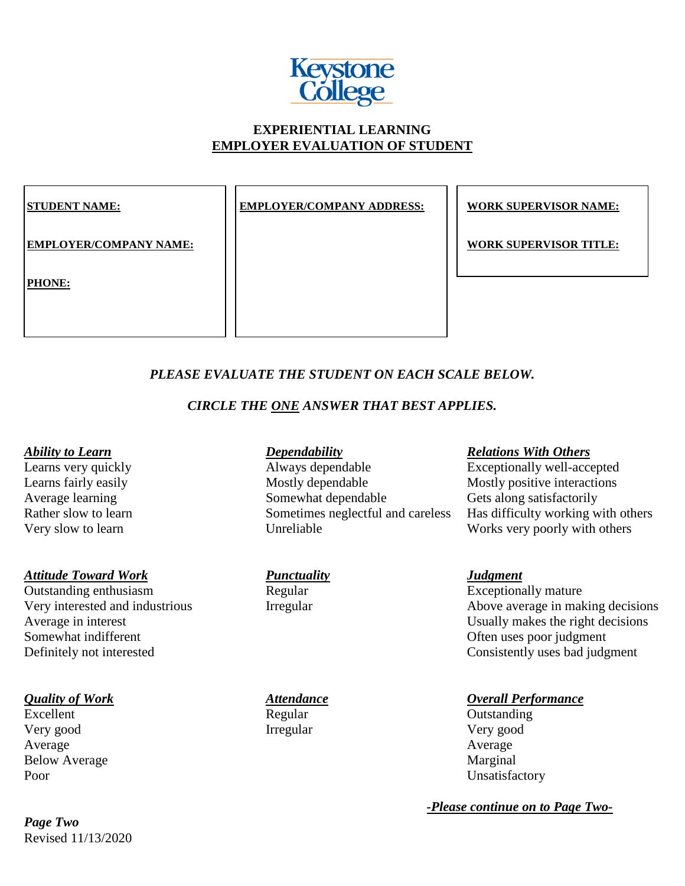

# **EXPERIENTIAL LEARNING EMPLOYER EVALUATION OF STUDENT**

**EMPLOYER/COMPANY ADDRESS: WORK SUPERVISOR NAME:** 

**EMPLOYER/COMPANY NAME:**  $\vert \cdot \vert$  **WORK SUPERVISOR TITLE:** 

### **PHONE:**

# *PLEASE EVALUATE THE STUDENT ON EACH SCALE BELOW.*

# *CIRCLE THE ONE ANSWER THAT BEST APPLIES.*

*Attitude Toward Work*<br> *Punctuality*<br> **Punctuality**<br> **Punctuality**<br> **Punctuality**<br> **Punctuality**<br> **Punctuality**<br> **Punctuality**<br> **Punctuality**<br> **Punctuality**<br> **Punctuality**<br> **Punctuality**<br> **Punctuality**<br> **Punctuality** Outstanding enthusiasm Regular Somewhat indifferent Communication Communication Communication Communication Communication Communication Communication Communication Communication Communication Communication Communication Communication Communication Commu

Excellent Regular Regular Outstanding Very good Irregular Very good Average Average Average Below Average Marginal Poor Unsatisfactory

Revised 11/13/2020 *Page Two*

Learns very quickly<br>
Learns fairly easily<br>
Learns fairly easily<br>
Mostly dependable<br>
Mostly dependable<br>
Mostly positive interactions Learns fairly easily Mostly dependable Mostly positive interactions Average learning Somewhat dependable Gets along satisfactorily Very slow to learn Unreliable Unreliable Works very poorly with others

### *Ability to Learn Dependability Relations With Others*

Rather slow to learn Sometimes neglectful and careless Has difficulty working with others

Very interested and industrious Irregular Irregular Above average in making decisions Average in interest Usually makes the right decisions Definitely not interested Consistently uses bad judgment

## *Quality of Work Attendance Overall Performance*

*-Please continue on to Page Two-*